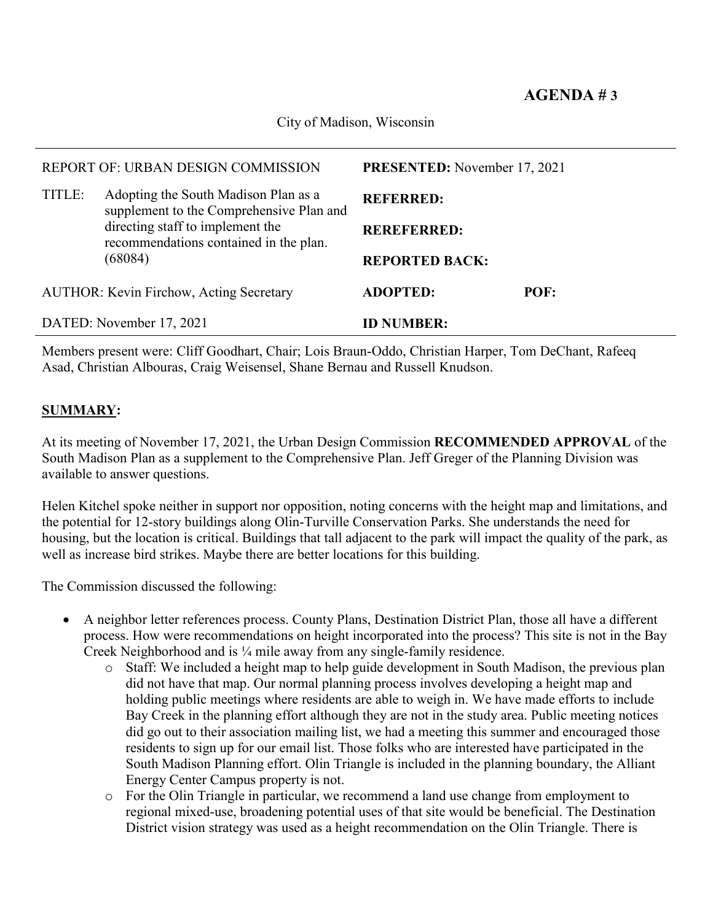City of Madison, Wisconsin

| REPORT OF: URBAN DESIGN COMMISSION             |                                                                                                                                                                           | <b>PRESENTED:</b> November 17, 2021 |      |
|------------------------------------------------|---------------------------------------------------------------------------------------------------------------------------------------------------------------------------|-------------------------------------|------|
| TITLE:                                         | Adopting the South Madison Plan as a<br>supplement to the Comprehensive Plan and<br>directing staff to implement the<br>recommendations contained in the plan.<br>(68084) | <b>REFERRED:</b>                    |      |
|                                                |                                                                                                                                                                           | <b>REREFERRED:</b>                  |      |
|                                                |                                                                                                                                                                           | <b>REPORTED BACK:</b>               |      |
| <b>AUTHOR: Kevin Firchow, Acting Secretary</b> |                                                                                                                                                                           | <b>ADOPTED:</b>                     | POF: |
| DATED: November 17, 2021                       |                                                                                                                                                                           | <b>ID NUMBER:</b>                   |      |

Members present were: Cliff Goodhart, Chair; Lois Braun-Oddo, Christian Harper, Tom DeChant, Rafeeq Asad, Christian Albouras, Craig Weisensel, Shane Bernau and Russell Knudson.

## **SUMMARY:**

At its meeting of November 17, 2021, the Urban Design Commission **RECOMMENDED APPROVAL** of the South Madison Plan as a supplement to the Comprehensive Plan. Jeff Greger of the Planning Division was available to answer questions.

Helen Kitchel spoke neither in support nor opposition, noting concerns with the height map and limitations, and the potential for 12-story buildings along Olin-Turville Conservation Parks. She understands the need for housing, but the location is critical. Buildings that tall adjacent to the park will impact the quality of the park, as well as increase bird strikes. Maybe there are better locations for this building.

The Commission discussed the following:

- A neighbor letter references process. County Plans, Destination District Plan, those all have a different process. How were recommendations on height incorporated into the process? This site is not in the Bay Creek Neighborhood and is ¼ mile away from any single-family residence.
	- o Staff: We included a height map to help guide development in South Madison, the previous plan did not have that map. Our normal planning process involves developing a height map and holding public meetings where residents are able to weigh in. We have made efforts to include Bay Creek in the planning effort although they are not in the study area. Public meeting notices did go out to their association mailing list, we had a meeting this summer and encouraged those residents to sign up for our email list. Those folks who are interested have participated in the South Madison Planning effort. Olin Triangle is included in the planning boundary, the Alliant Energy Center Campus property is not.
	- o For the Olin Triangle in particular, we recommend a land use change from employment to regional mixed-use, broadening potential uses of that site would be beneficial. The Destination District vision strategy was used as a height recommendation on the Olin Triangle. There is